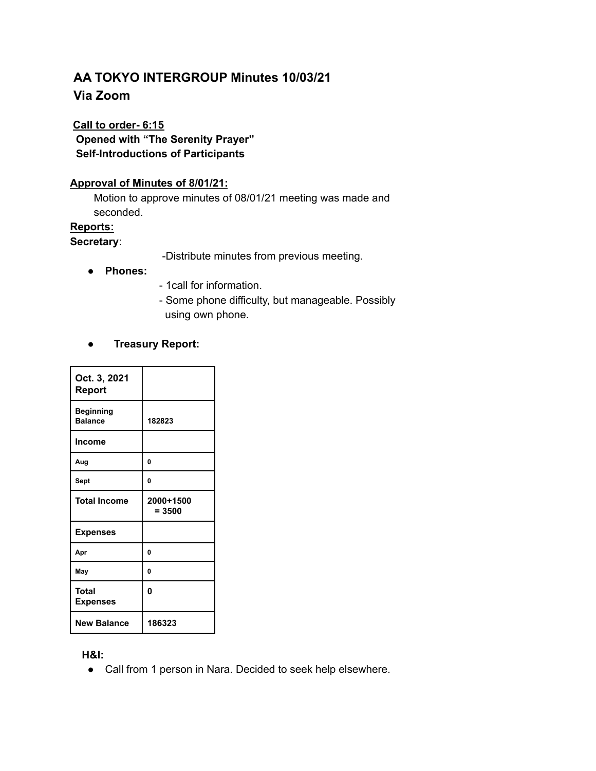## **AA TOKYO INTERGROUP Minutes 10/03/21 Via Zoom**

# **Call to order- 6:15**

**Opened with "The Serenity Prayer" Self-Introductions of Participants**

## **Approval of Minutes of 8/01/21:**

Motion to approve minutes of 08/01/21 meeting was made and seconded.

## **Reports:**

#### **Secretary**:

-Distribute minutes from previous meeting.

- **● Phones:**
- 1call for information.
- Some phone difficulty, but manageable. Possibly using own phone.

## ● **Treasury Report:**

| Oct. 3, 2021<br>Report             |                       |
|------------------------------------|-----------------------|
| <b>Beginning</b><br><b>Balance</b> | 182823                |
| <b>Income</b>                      |                       |
| Aug                                | 0                     |
| Sept                               | 0                     |
| <b>Total Income</b>                | 2000+1500<br>$= 3500$ |
| <b>Expenses</b>                    |                       |
| Apr                                | 0                     |
| May                                | 0                     |
| Total<br><b>Expenses</b>           | O                     |
| <b>New Balance</b>                 | 186323                |

#### **H&I:**

● Call from 1 person in Nara. Decided to seek help elsewhere.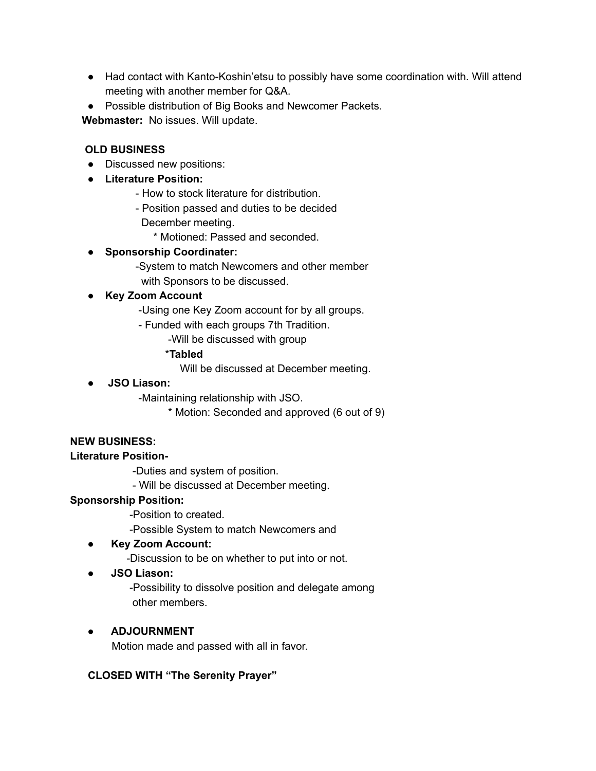- Had contact with Kanto-Koshin'etsu to possibly have some coordination with. Will attend meeting with another member for Q&A.
- Possible distribution of Big Books and Newcomer Packets.

**Webmaster:** No issues. Will update.

## **OLD BUSINESS**

- Discussed new positions:
- **Literature Position:**
	- How to stock literature for distribution.
	- Position passed and duties to be decided
		- December meeting.
			- \* Motioned: Passed and seconded.
- **Sponsorship Coordinater:**
	- -System to match Newcomers and other member with Sponsors to be discussed.
- **● Key Zoom Account**
	- -Using one Key Zoom account for by all groups.
	- Funded with each groups 7th Tradition.
		- -Will be discussed with group

## \***Tabled**

Will be discussed at December meeting.

● **JSO Liason:**

-Maintaining relationship with JSO.

\* Motion: Seconded and approved (6 out of 9)

## **NEW BUSINESS:**

## **Literature Position-**

-Duties and system of position.

- Will be discussed at December meeting.

## **Sponsorship Position:**

-Position to created.

-Possible System to match Newcomers and

● **Key Zoom Account:**

-Discussion to be on whether to put into or not.

● **JSO Liason:**

-Possibility to dissolve position and delegate among other members.

## **● ADJOURNMENT**

Motion made and passed with all in favor.

## **CLOSED WITH "The Serenity Prayer"**